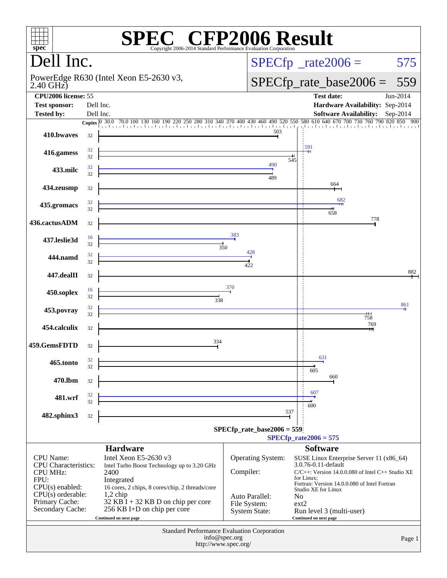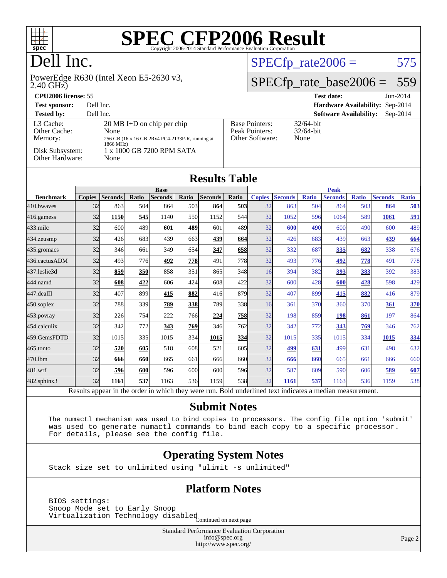

# Dell Inc.

2.40 GHz) PowerEdge R630 (Intel Xeon E5-2630 v3,

### $SPECTp_rate2006 = 575$

## [SPECfp\\_rate\\_base2006 =](http://www.spec.org/auto/cpu2006/Docs/result-fields.html#SPECfpratebase2006) 559

| <b>CPU2006 license: 55</b>                                                 |                                                                                                                                                   |                                                            | <b>Test date:</b><br>$Jun-2014$             |
|----------------------------------------------------------------------------|---------------------------------------------------------------------------------------------------------------------------------------------------|------------------------------------------------------------|---------------------------------------------|
| <b>Test sponsor:</b>                                                       | Dell Inc.                                                                                                                                         |                                                            | Hardware Availability: Sep-2014             |
| <b>Tested by:</b>                                                          | Dell Inc.                                                                                                                                         |                                                            | <b>Software Availability:</b><br>$Sep-2014$ |
| L3 Cache:<br>Other Cache:<br>Memory:<br>Disk Subsystem:<br>Other Hardware: | $20 \text{ MB}$ I+D on chip per chip<br>None<br>256 GB (16 x 16 GB 2Rx4 PC4-2133P-R, running at<br>1866 MHz)<br>1 x 1000 GB 7200 RPM SATA<br>None | <b>Base Pointers:</b><br>Peak Pointers:<br>Other Software: | $32/64$ -bit<br>$32/64$ -bit<br>None        |

|                  |               |                            |                  |                |                                            | <b>Results Table</b> |       |               |                                                         |              |                |              |                |              |
|------------------|---------------|----------------------------|------------------|----------------|--------------------------------------------|----------------------|-------|---------------|---------------------------------------------------------|--------------|----------------|--------------|----------------|--------------|
|                  |               | <b>Base</b><br><b>Peak</b> |                  |                |                                            |                      |       |               |                                                         |              |                |              |                |              |
| <b>Benchmark</b> | <b>Copies</b> | <b>Seconds</b>             | Ratio            | <b>Seconds</b> | Ratio                                      | <b>Seconds</b>       | Ratio | <b>Copies</b> | <b>Seconds</b>                                          | <b>Ratio</b> | <b>Seconds</b> | <b>Ratio</b> | <b>Seconds</b> | <b>Ratio</b> |
| 410.bwayes       | 32            | 863                        | 504              | 864            | 503                                        | 864                  | 503   | 32            | 863                                                     | 504          | 864            | 503          | 864            | 503          |
| $416$ .gamess    | 32            | 1150                       | 545              | 1140           | 550                                        | 1152                 | 544   | 32            | 1052                                                    | 596          | 1064           | 589          | 1061           | <u>591</u>   |
| $433$ .milc      | 32            | 600                        | 489              | 601            | 489                                        | 601                  | 489   | 32            | 600                                                     | 490          | 600            | 490          | 600            | 489          |
| $434$ . zeusmp   | 32            | 426                        | 683              | 439            | 663                                        | <u>439</u>           | 664   | 32            | 426                                                     | 683          | 439            | 663          | 439            | 664          |
| 435.gromacs      | 32            | 346                        | 661              | 349            | 654                                        | 347                  | 658   | 32            | 332                                                     | 687          | 335            | 682          | 338            | 676          |
| 436.cactusADM    | 32            | 493                        | 776              | 492            | 778                                        | 491                  | 778   | 32            | 493                                                     | 776          | 492            | 778          | 491            | 778          |
| 437.leslie3d     | 32            | 859                        | 350              | 858            | 351                                        | 865                  | 348   | 16            | 394                                                     | 382          | 393            | 383          | 392            | 383          |
| 444.namd         | 32            | 608                        | 422              | 606            | 424                                        | 608                  | 422   | 32            | 600                                                     | 428          | 600            | 428          | 598            | 429          |
| 447.dealII       | 32            | 407                        | 899              | 415            | 882                                        | 416                  | 879   | 32            | 407                                                     | 899          | 415            | 882          | 416            | 879          |
| 450.soplex       | 32            | 788                        | 339              | 789            | 338                                        | 789                  | 338   | 16            | 361                                                     | 370          | 360            | 370          | 361            | <b>370</b>   |
| $453$ .povray    | 32            | 226                        | 754              | 222            | 766                                        | 224                  | 758   | 32            | 198                                                     | 859          | 198            | 861          | 197            | 864          |
| $454$ calculix   | 32            | 342                        | 772              | 343            | 769                                        | 346                  | 762   | 32            | 342                                                     | 772          | 343            | 769          | 346            | 762          |
| 459.GemsFDTD     | 32            | 1015                       | 335              | 1015           | 334                                        | 1015                 | 334   | 32            | 1015                                                    | 335          | 1015           | 334          | 1015           | 334          |
| 465.tonto        | 32            | 520                        | 605              | 518            | 608                                        | 521                  | 605   | 32            | 499                                                     | 631          | 499            | 631          | 498            | 632          |
| 470.1bm          | 32            | 666                        | 660              | 665            | 661                                        | 666                  | 660   | 32            | 666                                                     | 660          | 665            | 661          | 666            | 660          |
| 481.wrf          | 32            | 596                        | 600              | 596            | 600                                        | 600                  | 596   | 32            | 587                                                     | 609          | 590            | 606          | 589            | 607          |
| 482.sphinx3      | 32            | 1161                       | 537              | 1163           | 536                                        | 1159                 | 538   | 32            | 1161                                                    | 537          | 1163           | 536          | 1159           | 538          |
|                  | $D = 14$      | 1.111                      | المصالحات<br>- - |                | المحصب المستحدث وتحامله المنافسة والمناقبة |                      |       |               | That do considerations of the contract and continued as |              | $\pm 1.1$      | -----------  |                |              |

Results appear in the [order in which they were run.](http://www.spec.org/auto/cpu2006/Docs/result-fields.html#RunOrder) Bold underlined text [indicates a median measurement.](http://www.spec.org/auto/cpu2006/Docs/result-fields.html#Median)

### **[Submit Notes](http://www.spec.org/auto/cpu2006/Docs/result-fields.html#SubmitNotes)**

 The numactl mechanism was used to bind copies to processors. The config file option 'submit' was used to generate numactl commands to bind each copy to a specific processor. For details, please see the config file.

### **[Operating System Notes](http://www.spec.org/auto/cpu2006/Docs/result-fields.html#OperatingSystemNotes)**

Stack size set to unlimited using "ulimit -s unlimited"

### **[Platform Notes](http://www.spec.org/auto/cpu2006/Docs/result-fields.html#PlatformNotes)**

 BIOS settings: Snoop Mode set to Early Snoop Shoop mode see to 1941, and isabled<br>Virtualization Technology disabled Continued on next page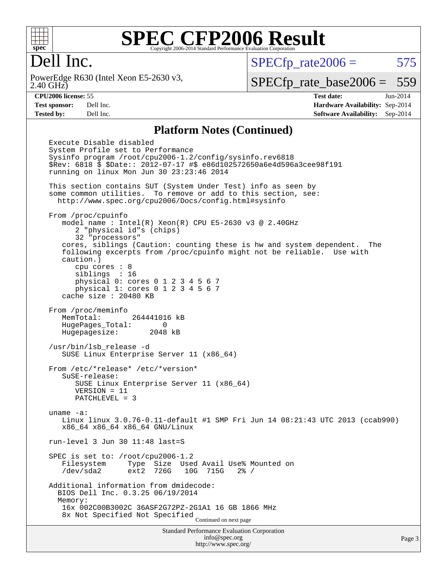

# Dell Inc.

2.40 GHz) PowerEdge R630 (Intel Xeon E5-2630 v3,  $SPECTp_rate2006 = 575$ 

[SPECfp\\_rate\\_base2006 =](http://www.spec.org/auto/cpu2006/Docs/result-fields.html#SPECfpratebase2006) 559

**[CPU2006 license:](http://www.spec.org/auto/cpu2006/Docs/result-fields.html#CPU2006license)** 55 **[Test date:](http://www.spec.org/auto/cpu2006/Docs/result-fields.html#Testdate)** Jun-2014 **[Test sponsor:](http://www.spec.org/auto/cpu2006/Docs/result-fields.html#Testsponsor)** Dell Inc. **[Hardware Availability:](http://www.spec.org/auto/cpu2006/Docs/result-fields.html#HardwareAvailability)** Sep-2014 **[Tested by:](http://www.spec.org/auto/cpu2006/Docs/result-fields.html#Testedby)** Dell Inc. **[Software Availability:](http://www.spec.org/auto/cpu2006/Docs/result-fields.html#SoftwareAvailability)** Sep-2014

#### **[Platform Notes \(Continued\)](http://www.spec.org/auto/cpu2006/Docs/result-fields.html#PlatformNotes)**

Standard Performance Evaluation Corporation [info@spec.org](mailto:info@spec.org) Execute Disable disabled System Profile set to Performance Sysinfo program /root/cpu2006-1.2/config/sysinfo.rev6818 \$Rev: 6818 \$ \$Date:: 2012-07-17 #\$ e86d102572650a6e4d596a3cee98f191 running on linux Mon Jun 30 23:23:46 2014 This section contains SUT (System Under Test) info as seen by some common utilities. To remove or add to this section, see: <http://www.spec.org/cpu2006/Docs/config.html#sysinfo> From /proc/cpuinfo model name : Intel $(R)$  Xeon $(R)$  CPU E5-2630 v3 @ 2.40GHz 2 "physical id"s (chips) 32 "processors" cores, siblings (Caution: counting these is hw and system dependent. The following excerpts from /proc/cpuinfo might not be reliable. Use with caution.) cpu cores : 8 siblings : 16 physical 0: cores 0 1 2 3 4 5 6 7 physical 1: cores 0 1 2 3 4 5 6 7 cache size : 20480 KB From /proc/meminfo MemTotal: 264441016 kB HugePages\_Total: 0 Hugepagesize: 2048 kB /usr/bin/lsb\_release -d SUSE Linux Enterprise Server 11 (x86\_64) From /etc/\*release\* /etc/\*version\* SuSE-release: SUSE Linux Enterprise Server 11 (x86\_64) VERSION = 11 PATCHLEVEL = 3 uname -a: Linux linux 3.0.76-0.11-default #1 SMP Fri Jun 14 08:21:43 UTC 2013 (ccab990) x86\_64 x86\_64 x86\_64 GNU/Linux run-level 3 Jun 30 11:48 last=S SPEC is set to: /root/cpu2006-1.2 Filesystem Type Size Used Avail Use% Mounted on /dev/sda2 ext2 726G 10G 715G 2% / Additional information from dmidecode: BIOS Dell Inc. 0.3.25 06/19/2014 Memory: 16x 002C00B3002C 36ASF2G72PZ-2G1A1 16 GB 1866 MHz 8x Not Specified Not Specified Continued on next page

<http://www.spec.org/>

Page 3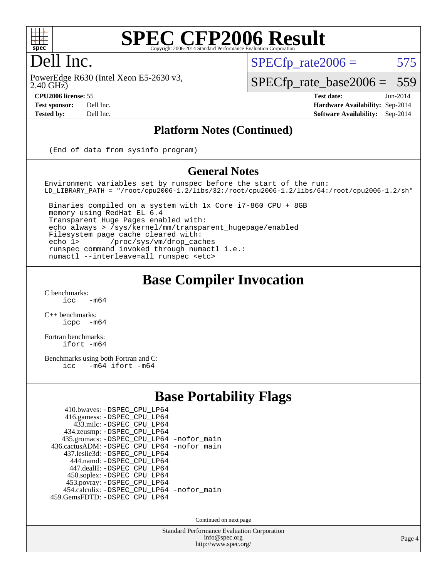

# Dell Inc.

2.40 GHz) PowerEdge R630 (Intel Xeon E5-2630 v3,

 $SPECTp\_rate2006 = 575$ 

[SPECfp\\_rate\\_base2006 =](http://www.spec.org/auto/cpu2006/Docs/result-fields.html#SPECfpratebase2006) 559

**[CPU2006 license:](http://www.spec.org/auto/cpu2006/Docs/result-fields.html#CPU2006license)** 55 **[Test date:](http://www.spec.org/auto/cpu2006/Docs/result-fields.html#Testdate)** Jun-2014 **[Test sponsor:](http://www.spec.org/auto/cpu2006/Docs/result-fields.html#Testsponsor)** Dell Inc. **[Hardware Availability:](http://www.spec.org/auto/cpu2006/Docs/result-fields.html#HardwareAvailability)** Sep-2014 **[Tested by:](http://www.spec.org/auto/cpu2006/Docs/result-fields.html#Testedby)** Dell Inc. **[Software Availability:](http://www.spec.org/auto/cpu2006/Docs/result-fields.html#SoftwareAvailability)** Sep-2014

### **[Platform Notes \(Continued\)](http://www.spec.org/auto/cpu2006/Docs/result-fields.html#PlatformNotes)**

(End of data from sysinfo program)

#### **[General Notes](http://www.spec.org/auto/cpu2006/Docs/result-fields.html#GeneralNotes)**

Environment variables set by runspec before the start of the run: LD\_LIBRARY\_PATH = "/root/cpu2006-1.2/libs/32:/root/cpu2006-1.2/libs/64:/root/cpu2006-1.2/sh"

 Binaries compiled on a system with 1x Core i7-860 CPU + 8GB memory using RedHat EL 6.4 Transparent Huge Pages enabled with: echo always > /sys/kernel/mm/transparent\_hugepage/enabled Filesystem page cache cleared with: echo 1> /proc/sys/vm/drop\_caches runspec command invoked through numactl i.e.: numactl --interleave=all runspec <etc>

### **[Base Compiler Invocation](http://www.spec.org/auto/cpu2006/Docs/result-fields.html#BaseCompilerInvocation)**

 $C$  benchmarks:<br>icc  $-m64$ 

[C++ benchmarks:](http://www.spec.org/auto/cpu2006/Docs/result-fields.html#CXXbenchmarks) [icpc -m64](http://www.spec.org/cpu2006/results/res2014q3/cpu2006-20140909-31295.flags.html#user_CXXbase_intel_icpc_64bit_bedb90c1146cab66620883ef4f41a67e)

[Fortran benchmarks](http://www.spec.org/auto/cpu2006/Docs/result-fields.html#Fortranbenchmarks): [ifort -m64](http://www.spec.org/cpu2006/results/res2014q3/cpu2006-20140909-31295.flags.html#user_FCbase_intel_ifort_64bit_ee9d0fb25645d0210d97eb0527dcc06e)

[Benchmarks using both Fortran and C](http://www.spec.org/auto/cpu2006/Docs/result-fields.html#BenchmarksusingbothFortranandC): [icc -m64](http://www.spec.org/cpu2006/results/res2014q3/cpu2006-20140909-31295.flags.html#user_CC_FCbase_intel_icc_64bit_0b7121f5ab7cfabee23d88897260401c) [ifort -m64](http://www.spec.org/cpu2006/results/res2014q3/cpu2006-20140909-31295.flags.html#user_CC_FCbase_intel_ifort_64bit_ee9d0fb25645d0210d97eb0527dcc06e)

### **[Base Portability Flags](http://www.spec.org/auto/cpu2006/Docs/result-fields.html#BasePortabilityFlags)**

| 410.bwaves: -DSPEC CPU LP64                |  |
|--------------------------------------------|--|
| 416.gamess: - DSPEC_CPU_LP64               |  |
| 433.milc: -DSPEC CPU LP64                  |  |
| 434.zeusmp: -DSPEC_CPU_LP64                |  |
| 435.gromacs: -DSPEC_CPU_LP64 -nofor_main   |  |
| 436.cactusADM: -DSPEC CPU LP64 -nofor main |  |
| 437.leslie3d: -DSPEC CPU LP64              |  |
| 444.namd: - DSPEC CPU LP64                 |  |
| 447.dealII: -DSPEC_CPU LP64                |  |
| 450.soplex: -DSPEC_CPU_LP64                |  |
| 453.povray: -DSPEC_CPU_LP64                |  |
| 454.calculix: - DSPEC_CPU_LP64 -nofor_main |  |
| 459.GemsFDTD: - DSPEC_CPU_LP64             |  |
|                                            |  |

Continued on next page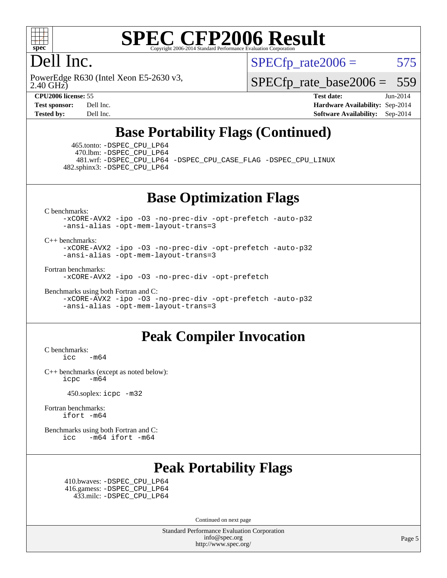

# Dell Inc.

 $SPECTp\_rate2006 = 575$ 

2.40 GHz) PowerEdge R630 (Intel Xeon E5-2630 v3, [SPECfp\\_rate\\_base2006 =](http://www.spec.org/auto/cpu2006/Docs/result-fields.html#SPECfpratebase2006) 559

**[CPU2006 license:](http://www.spec.org/auto/cpu2006/Docs/result-fields.html#CPU2006license)** 55 **[Test date:](http://www.spec.org/auto/cpu2006/Docs/result-fields.html#Testdate)** Jun-2014 **[Test sponsor:](http://www.spec.org/auto/cpu2006/Docs/result-fields.html#Testsponsor)** Dell Inc. **[Hardware Availability:](http://www.spec.org/auto/cpu2006/Docs/result-fields.html#HardwareAvailability)** Sep-2014 **[Tested by:](http://www.spec.org/auto/cpu2006/Docs/result-fields.html#Testedby)** Dell Inc. **[Software Availability:](http://www.spec.org/auto/cpu2006/Docs/result-fields.html#SoftwareAvailability)** Sep-2014

# **[Base Portability Flags \(Continued\)](http://www.spec.org/auto/cpu2006/Docs/result-fields.html#BasePortabilityFlags)**

 465.tonto: [-DSPEC\\_CPU\\_LP64](http://www.spec.org/cpu2006/results/res2014q3/cpu2006-20140909-31295.flags.html#suite_basePORTABILITY465_tonto_DSPEC_CPU_LP64) 470.lbm: [-DSPEC\\_CPU\\_LP64](http://www.spec.org/cpu2006/results/res2014q3/cpu2006-20140909-31295.flags.html#suite_basePORTABILITY470_lbm_DSPEC_CPU_LP64)

 481.wrf: [-DSPEC\\_CPU\\_LP64](http://www.spec.org/cpu2006/results/res2014q3/cpu2006-20140909-31295.flags.html#suite_basePORTABILITY481_wrf_DSPEC_CPU_LP64) [-DSPEC\\_CPU\\_CASE\\_FLAG](http://www.spec.org/cpu2006/results/res2014q3/cpu2006-20140909-31295.flags.html#b481.wrf_baseCPORTABILITY_DSPEC_CPU_CASE_FLAG) [-DSPEC\\_CPU\\_LINUX](http://www.spec.org/cpu2006/results/res2014q3/cpu2006-20140909-31295.flags.html#b481.wrf_baseCPORTABILITY_DSPEC_CPU_LINUX) 482.sphinx3: [-DSPEC\\_CPU\\_LP64](http://www.spec.org/cpu2006/results/res2014q3/cpu2006-20140909-31295.flags.html#suite_basePORTABILITY482_sphinx3_DSPEC_CPU_LP64)

## **[Base Optimization Flags](http://www.spec.org/auto/cpu2006/Docs/result-fields.html#BaseOptimizationFlags)**

[C benchmarks](http://www.spec.org/auto/cpu2006/Docs/result-fields.html#Cbenchmarks):

[-xCORE-AVX2](http://www.spec.org/cpu2006/results/res2014q3/cpu2006-20140909-31295.flags.html#user_CCbase_f-xAVX2_5f5fc0cbe2c9f62c816d3e45806c70d7) [-ipo](http://www.spec.org/cpu2006/results/res2014q3/cpu2006-20140909-31295.flags.html#user_CCbase_f-ipo) [-O3](http://www.spec.org/cpu2006/results/res2014q3/cpu2006-20140909-31295.flags.html#user_CCbase_f-O3) [-no-prec-div](http://www.spec.org/cpu2006/results/res2014q3/cpu2006-20140909-31295.flags.html#user_CCbase_f-no-prec-div) [-opt-prefetch](http://www.spec.org/cpu2006/results/res2014q3/cpu2006-20140909-31295.flags.html#user_CCbase_f-opt-prefetch) [-auto-p32](http://www.spec.org/cpu2006/results/res2014q3/cpu2006-20140909-31295.flags.html#user_CCbase_f-auto-p32) [-ansi-alias](http://www.spec.org/cpu2006/results/res2014q3/cpu2006-20140909-31295.flags.html#user_CCbase_f-ansi-alias) [-opt-mem-layout-trans=3](http://www.spec.org/cpu2006/results/res2014q3/cpu2006-20140909-31295.flags.html#user_CCbase_f-opt-mem-layout-trans_a7b82ad4bd7abf52556d4961a2ae94d5)

#### [C++ benchmarks:](http://www.spec.org/auto/cpu2006/Docs/result-fields.html#CXXbenchmarks)

[-xCORE-AVX2](http://www.spec.org/cpu2006/results/res2014q3/cpu2006-20140909-31295.flags.html#user_CXXbase_f-xAVX2_5f5fc0cbe2c9f62c816d3e45806c70d7) [-ipo](http://www.spec.org/cpu2006/results/res2014q3/cpu2006-20140909-31295.flags.html#user_CXXbase_f-ipo) [-O3](http://www.spec.org/cpu2006/results/res2014q3/cpu2006-20140909-31295.flags.html#user_CXXbase_f-O3) [-no-prec-div](http://www.spec.org/cpu2006/results/res2014q3/cpu2006-20140909-31295.flags.html#user_CXXbase_f-no-prec-div) [-opt-prefetch](http://www.spec.org/cpu2006/results/res2014q3/cpu2006-20140909-31295.flags.html#user_CXXbase_f-opt-prefetch) [-auto-p32](http://www.spec.org/cpu2006/results/res2014q3/cpu2006-20140909-31295.flags.html#user_CXXbase_f-auto-p32) [-ansi-alias](http://www.spec.org/cpu2006/results/res2014q3/cpu2006-20140909-31295.flags.html#user_CXXbase_f-ansi-alias) [-opt-mem-layout-trans=3](http://www.spec.org/cpu2006/results/res2014q3/cpu2006-20140909-31295.flags.html#user_CXXbase_f-opt-mem-layout-trans_a7b82ad4bd7abf52556d4961a2ae94d5)

[Fortran benchmarks](http://www.spec.org/auto/cpu2006/Docs/result-fields.html#Fortranbenchmarks):

[-xCORE-AVX2](http://www.spec.org/cpu2006/results/res2014q3/cpu2006-20140909-31295.flags.html#user_FCbase_f-xAVX2_5f5fc0cbe2c9f62c816d3e45806c70d7) [-ipo](http://www.spec.org/cpu2006/results/res2014q3/cpu2006-20140909-31295.flags.html#user_FCbase_f-ipo) [-O3](http://www.spec.org/cpu2006/results/res2014q3/cpu2006-20140909-31295.flags.html#user_FCbase_f-O3) [-no-prec-div](http://www.spec.org/cpu2006/results/res2014q3/cpu2006-20140909-31295.flags.html#user_FCbase_f-no-prec-div) [-opt-prefetch](http://www.spec.org/cpu2006/results/res2014q3/cpu2006-20140909-31295.flags.html#user_FCbase_f-opt-prefetch)

[Benchmarks using both Fortran and C](http://www.spec.org/auto/cpu2006/Docs/result-fields.html#BenchmarksusingbothFortranandC):

[-xCORE-AVX2](http://www.spec.org/cpu2006/results/res2014q3/cpu2006-20140909-31295.flags.html#user_CC_FCbase_f-xAVX2_5f5fc0cbe2c9f62c816d3e45806c70d7) [-ipo](http://www.spec.org/cpu2006/results/res2014q3/cpu2006-20140909-31295.flags.html#user_CC_FCbase_f-ipo) [-O3](http://www.spec.org/cpu2006/results/res2014q3/cpu2006-20140909-31295.flags.html#user_CC_FCbase_f-O3) [-no-prec-div](http://www.spec.org/cpu2006/results/res2014q3/cpu2006-20140909-31295.flags.html#user_CC_FCbase_f-no-prec-div) [-opt-prefetch](http://www.spec.org/cpu2006/results/res2014q3/cpu2006-20140909-31295.flags.html#user_CC_FCbase_f-opt-prefetch) [-auto-p32](http://www.spec.org/cpu2006/results/res2014q3/cpu2006-20140909-31295.flags.html#user_CC_FCbase_f-auto-p32) [-ansi-alias](http://www.spec.org/cpu2006/results/res2014q3/cpu2006-20140909-31295.flags.html#user_CC_FCbase_f-ansi-alias) [-opt-mem-layout-trans=3](http://www.spec.org/cpu2006/results/res2014q3/cpu2006-20140909-31295.flags.html#user_CC_FCbase_f-opt-mem-layout-trans_a7b82ad4bd7abf52556d4961a2ae94d5)

### **[Peak Compiler Invocation](http://www.spec.org/auto/cpu2006/Docs/result-fields.html#PeakCompilerInvocation)**

[C benchmarks](http://www.spec.org/auto/cpu2006/Docs/result-fields.html#Cbenchmarks):  $\text{icc}$   $-\text{m64}$ 

[C++ benchmarks \(except as noted below\):](http://www.spec.org/auto/cpu2006/Docs/result-fields.html#CXXbenchmarksexceptasnotedbelow) [icpc -m64](http://www.spec.org/cpu2006/results/res2014q3/cpu2006-20140909-31295.flags.html#user_CXXpeak_intel_icpc_64bit_bedb90c1146cab66620883ef4f41a67e)

450.soplex: [icpc -m32](http://www.spec.org/cpu2006/results/res2014q3/cpu2006-20140909-31295.flags.html#user_peakCXXLD450_soplex_intel_icpc_4e5a5ef1a53fd332b3c49e69c3330699)

[Fortran benchmarks](http://www.spec.org/auto/cpu2006/Docs/result-fields.html#Fortranbenchmarks): [ifort -m64](http://www.spec.org/cpu2006/results/res2014q3/cpu2006-20140909-31295.flags.html#user_FCpeak_intel_ifort_64bit_ee9d0fb25645d0210d97eb0527dcc06e)

[Benchmarks using both Fortran and C](http://www.spec.org/auto/cpu2006/Docs/result-fields.html#BenchmarksusingbothFortranandC): [icc -m64](http://www.spec.org/cpu2006/results/res2014q3/cpu2006-20140909-31295.flags.html#user_CC_FCpeak_intel_icc_64bit_0b7121f5ab7cfabee23d88897260401c) [ifort -m64](http://www.spec.org/cpu2006/results/res2014q3/cpu2006-20140909-31295.flags.html#user_CC_FCpeak_intel_ifort_64bit_ee9d0fb25645d0210d97eb0527dcc06e)

# **[Peak Portability Flags](http://www.spec.org/auto/cpu2006/Docs/result-fields.html#PeakPortabilityFlags)**

 410.bwaves: [-DSPEC\\_CPU\\_LP64](http://www.spec.org/cpu2006/results/res2014q3/cpu2006-20140909-31295.flags.html#suite_peakPORTABILITY410_bwaves_DSPEC_CPU_LP64) 416.gamess: [-DSPEC\\_CPU\\_LP64](http://www.spec.org/cpu2006/results/res2014q3/cpu2006-20140909-31295.flags.html#suite_peakPORTABILITY416_gamess_DSPEC_CPU_LP64) 433.milc: [-DSPEC\\_CPU\\_LP64](http://www.spec.org/cpu2006/results/res2014q3/cpu2006-20140909-31295.flags.html#suite_peakPORTABILITY433_milc_DSPEC_CPU_LP64)

Continued on next page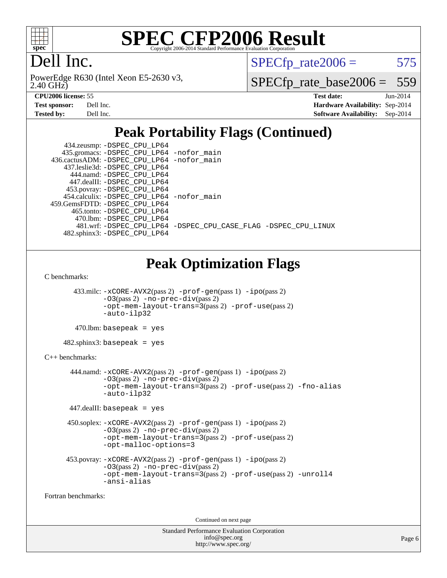

# Dell Inc.

2.40 GHz) PowerEdge R630 (Intel Xeon E5-2630 v3,  $SPECTp\_rate2006 = 575$ 

[SPECfp\\_rate\\_base2006 =](http://www.spec.org/auto/cpu2006/Docs/result-fields.html#SPECfpratebase2006) 559

| <b>Test sponsor:</b> | Dell Inc. |
|----------------------|-----------|
| Tested by:           | Dell Inc. |

**[CPU2006 license:](http://www.spec.org/auto/cpu2006/Docs/result-fields.html#CPU2006license)** 55 **[Test date:](http://www.spec.org/auto/cpu2006/Docs/result-fields.html#Testdate)** Jun-2014 **[Hardware Availability:](http://www.spec.org/auto/cpu2006/Docs/result-fields.html#HardwareAvailability)** Sep-2014 **[Software Availability:](http://www.spec.org/auto/cpu2006/Docs/result-fields.html#SoftwareAvailability)** Sep-2014

# **[Peak Portability Flags \(Continued\)](http://www.spec.org/auto/cpu2006/Docs/result-fields.html#PeakPortabilityFlags)**

| 434.zeusmp: - DSPEC_CPU_LP64               |                                                                |
|--------------------------------------------|----------------------------------------------------------------|
| 435.gromacs: -DSPEC_CPU_LP64 -nofor_main   |                                                                |
| 436.cactusADM: -DSPEC_CPU_LP64 -nofor_main |                                                                |
| 437.leslie3d: -DSPEC CPU LP64              |                                                                |
| 444.namd: -DSPEC CPU LP64                  |                                                                |
| 447.dealII: -DSPEC CPU LP64                |                                                                |
| 453.povray: -DSPEC_CPU_LP64                |                                                                |
| 454.calculix: -DSPEC CPU LP64 -nofor main  |                                                                |
| 459. GemsFDTD: - DSPEC CPU LP64            |                                                                |
| 465.tonto: -DSPEC CPU LP64                 |                                                                |
| 470.1bm: - DSPEC CPU LP64                  |                                                                |
|                                            | 481.wrf: -DSPEC CPU_LP64 -DSPEC_CPU_CASE_FLAG -DSPEC_CPU_LINUX |
| 482.sphinx3: -DSPEC CPU LP64               |                                                                |

# **[Peak Optimization Flags](http://www.spec.org/auto/cpu2006/Docs/result-fields.html#PeakOptimizationFlags)**

[C benchmarks](http://www.spec.org/auto/cpu2006/Docs/result-fields.html#Cbenchmarks):

 433.milc: [-xCORE-AVX2](http://www.spec.org/cpu2006/results/res2014q3/cpu2006-20140909-31295.flags.html#user_peakPASS2_CFLAGSPASS2_LDFLAGS433_milc_f-xAVX2_5f5fc0cbe2c9f62c816d3e45806c70d7)(pass 2) [-prof-gen](http://www.spec.org/cpu2006/results/res2014q3/cpu2006-20140909-31295.flags.html#user_peakPASS1_CFLAGSPASS1_LDFLAGS433_milc_prof_gen_e43856698f6ca7b7e442dfd80e94a8fc)(pass 1) [-ipo](http://www.spec.org/cpu2006/results/res2014q3/cpu2006-20140909-31295.flags.html#user_peakPASS2_CFLAGSPASS2_LDFLAGS433_milc_f-ipo)(pass 2) [-O3](http://www.spec.org/cpu2006/results/res2014q3/cpu2006-20140909-31295.flags.html#user_peakPASS2_CFLAGSPASS2_LDFLAGS433_milc_f-O3)(pass 2) [-no-prec-div](http://www.spec.org/cpu2006/results/res2014q3/cpu2006-20140909-31295.flags.html#user_peakPASS2_CFLAGSPASS2_LDFLAGS433_milc_f-no-prec-div)(pass 2) [-opt-mem-layout-trans=3](http://www.spec.org/cpu2006/results/res2014q3/cpu2006-20140909-31295.flags.html#user_peakPASS2_CFLAGS433_milc_f-opt-mem-layout-trans_a7b82ad4bd7abf52556d4961a2ae94d5)(pass 2) [-prof-use](http://www.spec.org/cpu2006/results/res2014q3/cpu2006-20140909-31295.flags.html#user_peakPASS2_CFLAGSPASS2_LDFLAGS433_milc_prof_use_bccf7792157ff70d64e32fe3e1250b55)(pass 2) [-auto-ilp32](http://www.spec.org/cpu2006/results/res2014q3/cpu2006-20140909-31295.flags.html#user_peakCOPTIMIZE433_milc_f-auto-ilp32)

 $470$ .lbm: basepeak = yes

 $482$ .sphinx $3$ : basepeak = yes

#### [C++ benchmarks:](http://www.spec.org/auto/cpu2006/Docs/result-fields.html#CXXbenchmarks)

 444.namd: [-xCORE-AVX2](http://www.spec.org/cpu2006/results/res2014q3/cpu2006-20140909-31295.flags.html#user_peakPASS2_CXXFLAGSPASS2_LDFLAGS444_namd_f-xAVX2_5f5fc0cbe2c9f62c816d3e45806c70d7)(pass 2) [-prof-gen](http://www.spec.org/cpu2006/results/res2014q3/cpu2006-20140909-31295.flags.html#user_peakPASS1_CXXFLAGSPASS1_LDFLAGS444_namd_prof_gen_e43856698f6ca7b7e442dfd80e94a8fc)(pass 1) [-ipo](http://www.spec.org/cpu2006/results/res2014q3/cpu2006-20140909-31295.flags.html#user_peakPASS2_CXXFLAGSPASS2_LDFLAGS444_namd_f-ipo)(pass 2)  $-03$ (pass 2)  $-$ no-prec-div(pass 2) [-opt-mem-layout-trans=3](http://www.spec.org/cpu2006/results/res2014q3/cpu2006-20140909-31295.flags.html#user_peakPASS2_CXXFLAGS444_namd_f-opt-mem-layout-trans_a7b82ad4bd7abf52556d4961a2ae94d5)(pass 2) [-prof-use](http://www.spec.org/cpu2006/results/res2014q3/cpu2006-20140909-31295.flags.html#user_peakPASS2_CXXFLAGSPASS2_LDFLAGS444_namd_prof_use_bccf7792157ff70d64e32fe3e1250b55)(pass 2) [-fno-alias](http://www.spec.org/cpu2006/results/res2014q3/cpu2006-20140909-31295.flags.html#user_peakCXXOPTIMIZE444_namd_f-no-alias_694e77f6c5a51e658e82ccff53a9e63a) [-auto-ilp32](http://www.spec.org/cpu2006/results/res2014q3/cpu2006-20140909-31295.flags.html#user_peakCXXOPTIMIZE444_namd_f-auto-ilp32)

447.dealII: basepeak = yes

```
 450.soplex: -xCORE-AVX2(pass 2) -prof-gen(pass 1) -ipo(pass 2)
-O3(pass 2) -no-prec-div(pass 2)
-opt-mem-layout-trans=3(pass 2) -prof-use(pass 2)
-opt-malloc-options=3
```

```
 453.povray: -xCORE-AVX2(pass 2) -prof-gen(pass 1) -ipo(pass 2)
 -O3(pass 2) -no-prec-div(pass 2)
 -opt-mem-layout-trans=3(pass 2) -prof-use(pass 2) -unroll4
 -ansi-alias
```
[Fortran benchmarks](http://www.spec.org/auto/cpu2006/Docs/result-fields.html#Fortranbenchmarks):

Continued on next page

| <b>Standard Performance Evaluation Corporation</b> |
|----------------------------------------------------|
| info@spec.org                                      |
| http://www.spec.org/                               |